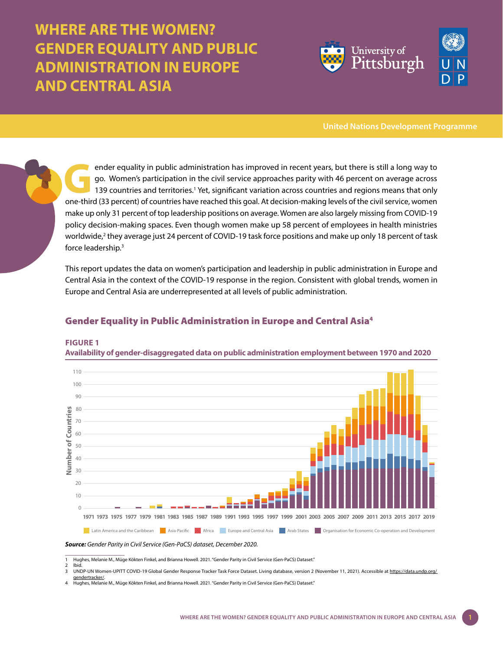# **WHERE ARE THE WOMEN? GENDER EQUALITY AND PUBLIC ADMINISTRATION IN EUROPE AND CENTRAL ASIA**



**United Nations Development Programme**

ender equality in public administration has improved in recent years, but there is still a long way to<br>go. Women's participation in the civil service approaches parity with 46 percent on average across<br>139 countries and te go. Women's participation in the civil service approaches parity with 46 percent on average across 139 countries and territories.<sup>1</sup> Yet, significant variation across countries and regions means that only one-third (33 percent) of countries have reached this goal. At decision-making levels of the civil service, women make up only 31 percent of top leadership positions on average. Women are also largely missing from COVID-19 policy decision-making spaces. Even though women make up 58 percent of employees in health ministries worldwide,<sup>2</sup> they average just 24 percent of COVID-19 task force positions and make up only 18 percent of task force leadership.3

This report updates the data on women's participation and leadership in public administration in Europe and Central Asia in the context of the COVID-19 response in the region. Consistent with global trends, women in Europe and Central Asia are underrepresented at all levels of public administration.

## Gender Equality in Public Administration in Europe and Central Asia4



#### **FIGURE 1**

**Availability of gender-disaggregated data on public administration employment between 1970 and 2020** 

1 Hughes, Melanie M., Müge Kökten Finkel, and Brianna Howell. 2021. "Gender Parity in Civil Service (Gen-PaCS) Dataset."

*Source: Gender Parity in Civil Service (Gen-PaCS) dataset, December 2020.* 

<sup>2</sup> Ibid<br>3 UNI UNDP-UN Women-UPITT COVID-19 Global Gender Response Tracker Task Force Dataset. Living database, version 2 (November 11, 2021). Accessible at https://data.undp.

[gendertracker/.](https://data.undp.org/gendertracker/) 4 Hughes, Melanie M., Müge Kökten Finkel, and Brianna Howell. 2021. "Gender Parity in Civil Service (Gen-PaCS) Dataset."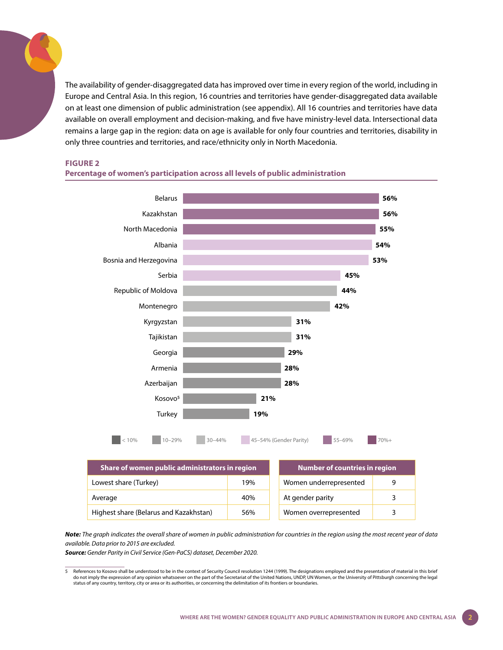The availability of gender-disaggregated data has improved over time in every region of the world, including in Europe and Central Asia. In this region, 16 countries and territories have gender-disaggregated data available on at least one dimension of public administration (see appendix). All 16 countries and territories have data available on overall employment and decision-making, and five have ministry-level data. Intersectional data remains a large gap in the region: data on age is available for only four countries and territories, disability in only three countries and territories, and race/ethnicity only in North Macedonia.5

#### **FIGURE 2**



#### **Percentage of women's participation across all levels of public administration**

| Share of women public administrators in region |     | <b>Number of countries in region</b> |  |
|------------------------------------------------|-----|--------------------------------------|--|
| Lowest share (Turkey)                          | 19% | Women underrepresented<br>q          |  |
| Average                                        | 40% | At gender parity<br>3                |  |
| Highest share (Belarus and Kazakhstan)         | 56% | Women overrepresented<br>ર           |  |

*Note: The graph indicates the overall share of women in public administration for countries in the region using the most recent year of data available. Data prior to 2015 are excluded.* 

*Source: Gender Parity in Civil Service (Gen-PaCS) dataset, December 2020.*

<sup>5</sup> References to Kosovo shall be understood to be in the context of Security Council resolution 1244 (1999). The designations employed and the presentation of material in this brief do not imply the expression of any opinion whatsoever on the part of the Secretariat of the United Nations, UNDP, UN Women, or the University of Pittsburgh concerning the legal<br>status of any country, territory, city or are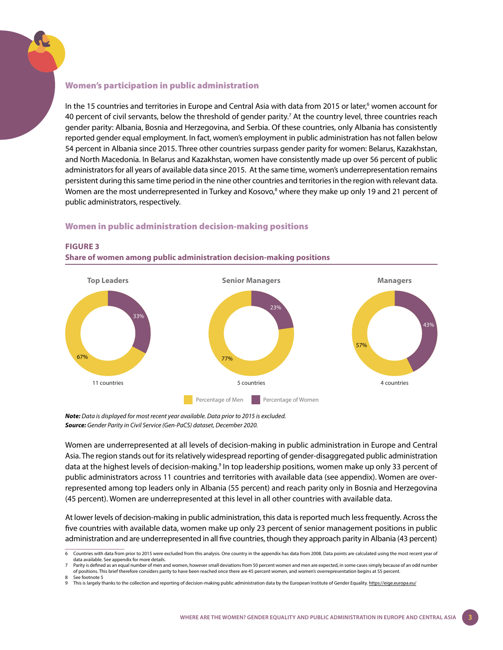#### Women's participation in public administration

In the 15 countries and territories in Europe and Central Asia with data from 2015 or later,<sup>6</sup> women account for 40 percent of civil servants, below the threshold of gender parity.<sup>7</sup> At the country level, three countries reach gender parity: Albania, Bosnia and Herzegovina, and Serbia. Of these countries, only Albania has consistently reported gender equal employment. In fact, women's employment in public administration has not fallen below 54 percent in Albania since 2015. Three other countries surpass gender parity for women: Belarus, Kazakhstan, and North Macedonia. In Belarus and Kazakhstan, women have consistently made up over 56 percent of public administrators for all years of available data since 2015. At the same time, women's underrepresentation remains persistent during this same time period in the nine other countries and territories in the region with relevant data. Women are the most underrepresented in Turkey and Kosovo,<sup>8</sup> where they make up only 19 and 21 percent of public administrators, respectively.

#### Women in public administration decision-making positions



### **FIGURE 3**

**Share of women among public administration decision-making positions**

*Note: Data is displayed for most recent year available. Data prior to 2015 is excluded. Source: Gender Parity in Civil Service (Gen-PaCS) dataset, December 2020.*

Women are underrepresented at all levels of decision-making in public administration in Europe and Central Asia. The region stands out for its relatively widespread reporting of gender-disaggregated public administration data at the highest levels of decision-making.<sup>9</sup> In top leadership positions, women make up only 33 percent of public administrators across 11 countries and territories with available data (see appendix). Women are overrepresented among top leaders only in Albania (55 percent) and reach parity only in Bosnia and Herzegovina (45 percent). Women are underrepresented at this level in all other countries with available data.

At lower levels of decision-making in public administration, this data is reported much less frequently. Across the five countries with available data, women make up only 23 percent of senior management positions in public administration and are underrepresented in all five countries, though they approach parity in Albania (43 percent)

This is largely thanks to the collection and reporting of decision-making public administration data by the European Institute of Gender Equality.<https://eige.europa.eu/>

<sup>6</sup> Countries with data from prior to 2015 were excluded from this analysis. One country in the appendix has data from 2008. Data points are calculated using the most recent year of data available. See appendix for more details.

Parity is defined as an equal number of men and women, however small deviations from 50 percent women and men are expected, in some cases simply because of an odd number of positions. This brief therefore considers parity to have been reached once there are 45 percent women, and women's overrepresentation begins at 55 percent. See footnote 5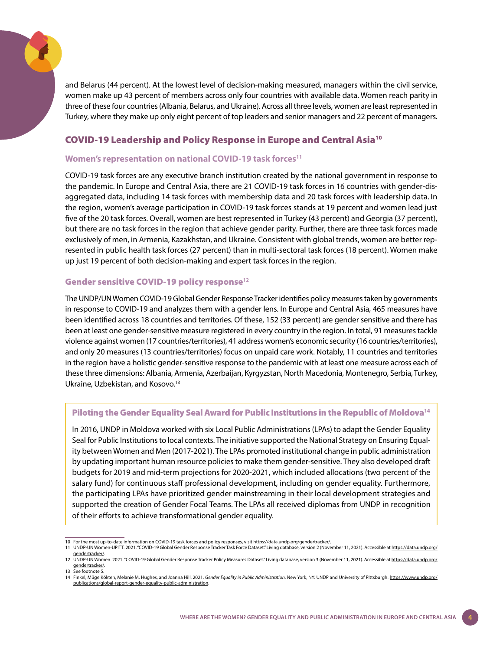and Belarus (44 percent). At the lowest level of decision-making measured, managers within the civil service, women make up 43 percent of members across only four countries with available data. Women reach parity in three of these four countries (Albania, Belarus, and Ukraine). Across all three levels, women are least represented in Turkey, where they make up only eight percent of top leaders and senior managers and 22 percent of managers.

## COVID-19 Leadership and Policy Response in Europe and Central Asia10

## **Women's representation on national COVID-19 task forces11**

COVID-19 task forces are any executive branch institution created by the national government in response to the pandemic. In Europe and Central Asia, there are 21 COVID-19 task forces in 16 countries with gender-disaggregated data, including 14 task forces with membership data and 20 task forces with leadership data. In the region, women's average participation in COVID-19 task forces stands at 19 percent and women lead just five of the 20 task forces. Overall, women are best represented in Turkey (43 percent) and Georgia (37 percent), but there are no task forces in the region that achieve gender parity. Further, there are three task forces made exclusively of men, in Armenia, Kazakhstan, and Ukraine. Consistent with global trends, women are better represented in public health task forces (27 percent) than in multi-sectoral task forces (18 percent). Women make up just 19 percent of both decision-making and expert task forces in the region.

#### Gender sensitive COVID-19 policy response**<sup>12</sup>**

The UNDP/UN Women COVID-19 Global Gender Response Tracker identifies policy measures taken by governments in response to COVID-19 and analyzes them with a gender lens. In Europe and Central Asia, 465 measures have been identified across 18 countries and territories. Of these, 152 (33 percent) are gender sensitive and there has been at least one gender-sensitive measure registered in every country in the region. In total, 91 measures tackle violence against women (17 countries/territories), 41 address women's economic security (16 countries/territories), and only 20 measures (13 countries/territories) focus on unpaid care work. Notably, 11 countries and territories in the region have a holistic gender-sensitive response to the pandemic with at least one measure across each of these three dimensions: Albania, Armenia, Azerbaijan, Kyrgyzstan, North Macedonia, Montenegro, Serbia, Turkey, Ukraine, Uzbekistan, and Kosovo.13

#### Piloting the Gender Equality Seal Award for Public Institutions in the Republic of Moldova<sup>14</sup>

In 2016, UNDP in Moldova worked with six Local Public Administrations (LPAs) to adapt the Gender Equality Seal for Public Institutions to local contexts. The initiative supported the National Strategy on Ensuring Equality between Women and Men (2017-2021). The LPAs promoted institutional change in public administration by updating important human resource policies to make them gender-sensitive. They also developed draft budgets for 2019 and mid-term projections for 2020-2021, which included allocations (two percent of the salary fund) for continuous staff professional development, including on gender equality. Furthermore, the participating LPAs have prioritized gender mainstreaming in their local development strategies and supported the creation of Gender Focal Teams. The LPAs all received diplomas from UNDP in recognition of their efforts to achieve transformational gender equality.

<sup>10</sup> For the most up-to-date information on COVID-19 task forces and policy responses, visit <https://data.undp.org/gendertracker/>.

<sup>11</sup> UNDP-UN Women-UPITT. 2021. "COVID-19 Global Gender Response Tracker Task Force Dataset." Living database, version 2 (November 11, 2021). Accessible at [https://data.undp.org/](https://data.undp.org/gendertracker/) [gendertracker/.](https://data.undp.org/gendertracker/)

<sup>12</sup> UNDP-UN Women. 2021. "COVID-19 Global Gender Response Tracker Policy Measures Dataset." Living database, version 3 (November 11, 2021). Accessible at [https://data.undp.org/](https://data.undp.org/gendertracker/) [gendertracker/.](https://data.undp.org/gendertracker/) 13 See footnote 5.

<sup>14</sup> Finkel, Müge Kökten, Melanie M. Hughes, and Joanna Hill. 2021. *Gender Equality in Public Administration*. New York, NY: UNDP and University of Pittsburgh. [https://www.undp.org/](https://www.undp.org/publications/global-report-gender-equality-public-administration) [publications/global-report-gender-equality-public-administration.](https://www.undp.org/publications/global-report-gender-equality-public-administration)